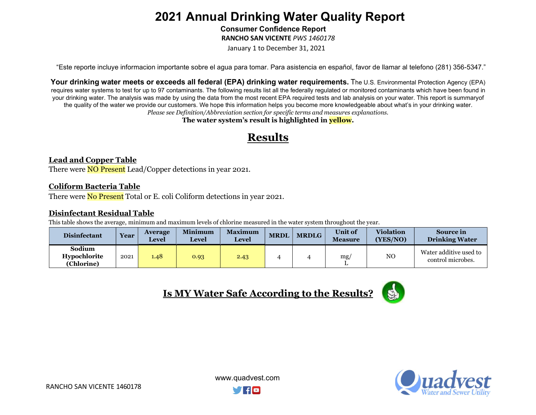Consumer Confidence Report

RANCHO SAN VICENTE PWS 1460178

January 1 to December 31, 2021

"Este reporte incluye informacion importante sobre el agua para tomar. Para asistencia en español, favor de llamar al telefono (281) 356-5347."

Your drinking water meets or exceeds all federal (EPA) drinking water requirements. The U.S. Environmental Protection Agency (EPA) requires water systems to test for up to 97 contaminants. The following results list all the federally regulated or monitored contaminants which have been found in your drinking water. The analysis was made by using the data from the most recent EPA required tests and lab analysis on your water. This report is summary of the quality of the water we provide our customers. We hope this information helps you become more knowledgeable about what's in your drinking water. Please see Definition/Abbreviation section for specific terms and measures explanations.

The water system's result is highlighted in **yellow**.

## Results

#### Lead and Copper Table

There were **NO Present** Lead/Copper detections in year 2021.

#### Coliform Bacteria Table

There were **No Present** Total or E. coli Coliform detections in year 2021.

### Disinfectant Residual Table

This table shows the average, minimum and maximum levels of chlorine measured in the water system throughout the year.

| <b>Disinfectant</b>                         | Year | <b>Average</b><br><b>Level</b> | <b>Minimum</b><br>Level | <b>Maximum</b><br><b>Level</b> | <b>MRDL</b> | <b>MRDLG</b> | <b>Unit of</b><br><b>Measure</b> | <b>Violation</b><br>(YES/NO) | <b>Source in</b><br><b>Drinking Water</b>   |
|---------------------------------------------|------|--------------------------------|-------------------------|--------------------------------|-------------|--------------|----------------------------------|------------------------------|---------------------------------------------|
| Sodium<br><b>Hypochlorite</b><br>(Chlorine) | 2021 | 1.48                           | 0.93                    | 2.43                           |             |              | mg/                              | NO                           | Water additive used to<br>control microbes. |





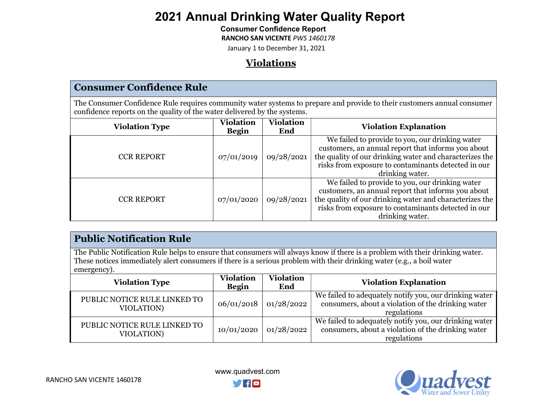### Consumer Confidence Report

RANCHO SAN VICENTE PWS 1460178

January 1 to December 31, 2021

## Violations

The Consumer Confidence Rule requires community water systems to prepare and provide to their customers annual consumer confidence reports on the quality of the water delivered by the systems.

| <b>Violation Type</b> | <b>Violation</b><br><b>Begin</b> | <b>Violation</b><br>End | <b>Violation Explanation</b>                                                                                                                                                                                                               |
|-----------------------|----------------------------------|-------------------------|--------------------------------------------------------------------------------------------------------------------------------------------------------------------------------------------------------------------------------------------|
| <b>CCR REPORT</b>     | 07/01/2019                       | 09/28/2021              | We failed to provide to you, our drinking water<br>customers, an annual report that informs you about<br>the quality of our drinking water and characterizes the<br>risks from exposure to contaminants detected in our<br>drinking water. |
| <b>CCR REPORT</b>     | 07/01/2020                       | 09/28/2021              | We failed to provide to you, our drinking water<br>customers, an annual report that informs you about<br>the quality of our drinking water and characterizes the<br>risks from exposure to contaminants detected in our<br>drinking water. |

## Public Notification Rule

The Public Notification Rule helps to ensure that consumers will always know if there is a problem with their drinking water. These notices immediately alert consumers if there is a serious problem with their drinking water (e.g., a boil water emergency).

| <b>Violation Type</b>                      | <b>Violation</b><br><b>Begin</b> | <b>Violation</b><br>End | <b>Violation Explanation</b>                                                                                                |
|--------------------------------------------|----------------------------------|-------------------------|-----------------------------------------------------------------------------------------------------------------------------|
| PUBLIC NOTICE RULE LINKED TO<br>VIOLATION) | 06/01/2018                       | 01/28/2022              | We failed to adequately notify you, our drinking water<br>consumers, about a violation of the drinking water<br>regulations |
| PUBLIC NOTICE RULE LINKED TO<br>VIOLATION) | 10/01/2020                       | 01/28/2022              | We failed to adequately notify you, our drinking water<br>consumers, about a violation of the drinking water<br>regulations |



www.quadvest.com

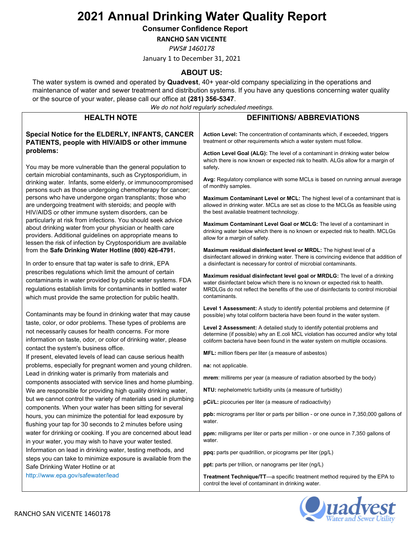Consumer Confidence Report

RANCHO SAN VICENTE

PWS# 1460178

January 1 to December 31, 2021

### ABOUT US:

The water system is owned and operated by Quadvest, 40+ year-old company specializing in the operations and maintenance of water and sewer treatment and distribution systems. If you have any questions concerning water quality or the source of your water, please call our office at (281) 356-5347.

We do not hold regularly scheduled meetings.

| <b>HEALTH NOTE</b>                                                                                                                                                                                                                                     | We do not hold regularly scheduled meetings.<br><b>DEFINITIONS/ ABBREVIATIONS</b>                                                                                                                                                                                  |
|--------------------------------------------------------------------------------------------------------------------------------------------------------------------------------------------------------------------------------------------------------|--------------------------------------------------------------------------------------------------------------------------------------------------------------------------------------------------------------------------------------------------------------------|
|                                                                                                                                                                                                                                                        |                                                                                                                                                                                                                                                                    |
| Special Notice for the ELDERLY, INFANTS, CANCER<br>PATIENTS, people with HIV/AIDS or other immune                                                                                                                                                      | <b>Action Level:</b> The concentration of contaminants which, if exceeded, triggers<br>treatment or other requirements which a water system must follow.                                                                                                           |
| problems:                                                                                                                                                                                                                                              | Action Level Goal (ALG): The level of a contaminant in drinking water below<br>which there is now known or expected risk to health. ALGs allow for a margin of                                                                                                     |
| You may be more vulnerable than the general population to<br>certain microbial contaminants, such as Cryptosporidium, in                                                                                                                               | safety.                                                                                                                                                                                                                                                            |
| drinking water. Infants, some elderly, or immunocompromised<br>persons such as those undergoing chemotherapy for cancer;                                                                                                                               | Avg: Regulatory compliance with some MCLs is based on running annual average<br>of monthly samples.                                                                                                                                                                |
| persons who have undergone organ transplants; those who<br>are undergoing treatment with steroids; and people with<br>HIV/AIDS or other immune system disorders, can be                                                                                | Maximum Contaminant Level or MCL: The highest level of a contaminant that is<br>allowed in drinking water. MCLs are set as close to the MCLGs as feasible using<br>the best available treatment technology.                                                        |
| particularly at risk from infections. You should seek advice<br>about drinking water from your physician or health care<br>providers. Additional guidelines on appropriate means to                                                                    | <b>Maximum Contaminant Level Goal or MCLG:</b> The level of a contaminant in<br>drinking water below which there is no known or expected risk to health. MCLGs<br>allow for a margin of safety.                                                                    |
| lessen the risk of infection by Cryptosporidium are available<br>from the Safe Drinking Water Hotline (800) 426-4791.<br>In order to ensure that tap water is safe to drink, EPA                                                                       | Maximum residual disinfectant level or MRDL: The highest level of a<br>disinfectant allowed in drinking water. There is convincing evidence that addition of<br>a disinfectant is necessary for control of microbial contaminants.                                 |
| prescribes regulations which limit the amount of certain<br>contaminants in water provided by public water systems. FDA<br>regulations establish limits for contaminants in bottled water<br>which must provide the same protection for public health. | Maximum residual disinfectant level goal or MRDLG: The level of a drinking<br>water disinfectant below which there is no known or expected risk to health.<br>MRDLGs do not reflect the benefits of the use of disinfectants to control microbial<br>contaminants. |
| Contaminants may be found in drinking water that may cause                                                                                                                                                                                             | Level 1 Assessment: A study to identify potential problems and determine (if<br>possible) why total coliform bacteria have been found in the water system.                                                                                                         |
| taste, color, or odor problems. These types of problems are<br>not necessarily causes for health concerns. For more<br>information on taste, odor, or color of drinking water, please                                                                  | Level 2 Assessment: A detailed study to identify potential problems and<br>determine (if possible) why an E.coli MCL violation has occurred and/or why total<br>coliform bacteria have been found in the water system on multiple occasions.                       |
| contact the system's business office.<br>If present, elevated levels of lead can cause serious health                                                                                                                                                  | MFL: million fibers per liter (a measure of asbestos)                                                                                                                                                                                                              |
| problems, especially for pregnant women and young children.                                                                                                                                                                                            | na: not applicable.                                                                                                                                                                                                                                                |
| Lead in drinking water is primarily from materials and<br>components associated with service lines and home plumbing.                                                                                                                                  | mrem: millirems per year (a measure of radiation absorbed by the body)                                                                                                                                                                                             |
| We are responsible for providing high quality drinking water,                                                                                                                                                                                          | NTU: nephelometric turbidity units (a measure of turbidity)                                                                                                                                                                                                        |
| but we cannot control the variety of materials used in plumbing<br>components. When your water has been sitting for several                                                                                                                            | pCi/L: picocuries per liter (a measure of radioactivity)                                                                                                                                                                                                           |
| hours, you can minimize the potential for lead exposure by<br>flushing your tap for 30 seconds to 2 minutes before using                                                                                                                               | ppb: micrograms per liter or parts per billion - or one ounce in 7,350,000 gallons of<br>water.                                                                                                                                                                    |
| water for drinking or cooking. If you are concerned about lead<br>in your water, you may wish to have your water tested.                                                                                                                               | ppm: milligrams per liter or parts per million - or one ounce in 7,350 gallons of<br>water.                                                                                                                                                                        |
| Information on lead in drinking water, testing methods, and                                                                                                                                                                                            | ppq: parts per quadrillion, or picograms per liter (pg/L)                                                                                                                                                                                                          |
| steps you can take to minimize exposure is available from the<br>Safe Drinking Water Hotline or at                                                                                                                                                     | ppt: parts per trillion, or nanograms per liter (ng/L)                                                                                                                                                                                                             |
| http://www.epa.gov/safewater/lead                                                                                                                                                                                                                      | Treatment Technique/TT-a specific treatment method required by the EPA to<br>control the level of contaminant in drinking water.                                                                                                                                   |

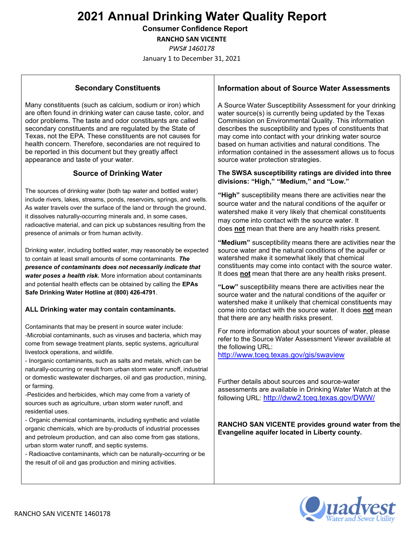Consumer Confidence Report

RANCHO SAN VICENTE

PWS# 1460178

January 1 to December 31, 2021

### Secondary Constituents

Many constituents (such as calcium, sodium or iron) which are often found in drinking water can cause taste, color, and odor problems. The taste and odor constituents are called secondary constituents and are regulated by the State of Texas, not the EPA. These constituents are not causes for health concern. Therefore, secondaries are not required to be reported in this document but they greatly affect appearance and taste of your water.

### Source of Drinking Water

The sources of drinking water (both tap water and bottled water) include rivers, lakes, streams, ponds, reservoirs, springs, and wells. As water travels over the surface of the land or through the ground, it dissolves naturally-occurring minerals and, in some cases, radioactive material, and can pick up substances resulting from the presence of animals or from human activity.

Drinking water, including bottled water, may reasonably be expected to contain at least small amounts of some contaminants. The presence of contaminants does not necessarily indicate that water poses a health risk. More information about contaminants and potential health effects can be obtained by calling the EPAs Safe Drinking Water Hotline at (800) 426-4791.

### ALL Drinking water may contain contaminants.

Contaminants that may be present in source water include: -Microbial contaminants, such as viruses and bacteria, which may come from sewage treatment plants, septic systems, agricultural livestock operations, and wildlife.

- Inorganic contaminants, such as salts and metals, which can be naturally-occurring or result from urban storm water runoff, industrial or domestic wastewater discharges, oil and gas production, mining, or farming.

-Pesticides and herbicides, which may come from a variety of sources such as agriculture, urban storm water runoff, and residential uses.

- Organic chemical contaminants, including synthetic and volatile organic chemicals, which are by-products of industrial processes and petroleum production, and can also come from gas stations, urban storm water runoff, and septic systems.

- Radioactive contaminants, which can be naturally-occurring or be the result of oil and gas production and mining activities.

#### Information about of Source Water Assessments

A Source Water Susceptibility Assessment for your drinking water source(s) is currently being updated by the Texas Commission on Environmental Quality. This information describes the susceptibility and types of constituents that may come into contact with your drinking water source based on human activities and natural conditions. The information contained in the assessment allows us to focus source water protection strategies.

#### The SWSA susceptibility ratings are divided into three divisions: "High," "Medium," and "Low."

"High" susceptibility means there are activities near the source water and the natural conditions of the aquifer or watershed make it very likely that chemical constituents may come into contact with the source water. It does not mean that there are any health risks present.

"Medium" susceptibility means there are activities near the source water and the natural conditions of the aquifer or watershed make it somewhat likely that chemical constituents may come into contact with the source water. It does not mean that there are any health risks present.

"Low" susceptibility means there are activities near the source water and the natural conditions of the aquifer or watershed make it unlikely that chemical constituents may come into contact with the source water. It does not mean that there are any health risks present.

For more information about your sources of water, please refer to the Source Water Assessment Viewer available at the following URL:

http://www.tceq.texas.gov/gis/swaview

Further details about sources and source-water assessments are available in Drinking Water Watch at the following URL: http://dww2.tceq.texas.gov/DWW/

#### RANCHO SAN VICENTE provides ground water from the Evangeline aquifer located in Liberty county.